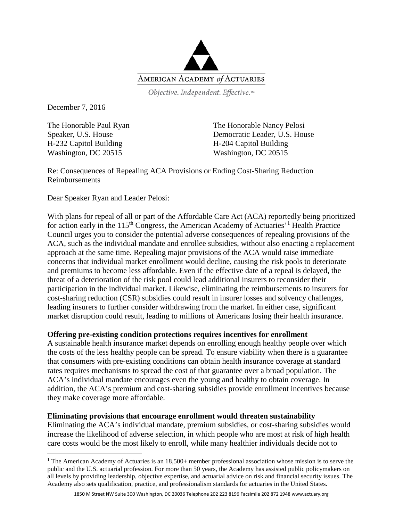

Objective. Independent. Effective.™

December 7, 2016

The Honorable Paul Ryan Speaker, U.S. House H-232 Capitol Building Washington, DC 20515

The Honorable Nancy Pelosi Democratic Leader, U.S. House H-204 Capitol Building Washington, DC 20515

Re: Consequences of Repealing ACA Provisions or Ending Cost-Sharing Reduction Reimbursements

Dear Speaker Ryan and Leader Pelosi:

With plans for repeal of all or part of the Affordable Care Act (ACA) reportedly being prioritized for action early in the [1](#page-0-0)15<sup>th</sup> Congress, the American Academy of Actuaries<sup>'1</sup> Health Practice Council urges you to consider the potential adverse consequences of repealing provisions of the ACA, such as the individual mandate and enrollee subsidies, without also enacting a replacement approach at the same time. Repealing major provisions of the ACA would raise immediate concerns that individual market enrollment would decline, causing the risk pools to deteriorate and premiums to become less affordable. Even if the effective date of a repeal is delayed, the threat of a deterioration of the risk pool could lead additional insurers to reconsider their participation in the individual market. Likewise, eliminating the reimbursements to insurers for cost-sharing reduction (CSR) subsidies could result in insurer losses and solvency challenges, leading insurers to further consider withdrawing from the market. In either case, significant market disruption could result, leading to millions of Americans losing their health insurance.

## **Offering pre-existing condition protections requires incentives for enrollment**

A sustainable health insurance market depends on enrolling enough healthy people over which the costs of the less healthy people can be spread. To ensure viability when there is a guarantee that consumers with pre-existing conditions can obtain health insurance coverage at standard rates requires mechanisms to spread the cost of that guarantee over a broad population. The ACA's individual mandate encourages even the young and healthy to obtain coverage. In addition, the ACA's premium and cost-sharing subsidies provide enrollment incentives because they make coverage more affordable.

## **Eliminating provisions that encourage enrollment would threaten sustainability**

Eliminating the ACA's individual mandate, premium subsidies, or cost-sharing subsidies would increase the likelihood of adverse selection, in which people who are most at risk of high health care costs would be the most likely to enroll, while many healthier individuals decide not to

<span id="page-0-0"></span><sup>&</sup>lt;sup>1</sup> The American Academy of Actuaries is an  $18,500+$  member professional association whose mission is to serve the public and the U.S. actuarial profession. For more than 50 years, the Academy has assisted public policymakers on all levels by providing leadership, objective expertise, and actuarial advice on risk and financial security issues. The Academy also sets qualification, practice, and professionalism standards for actuaries in the United States.